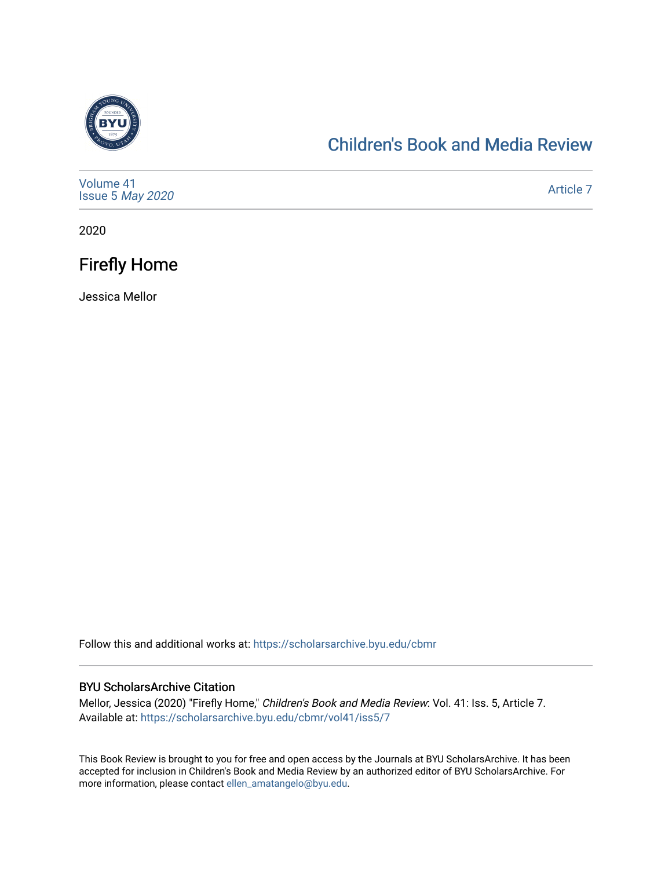

### [Children's Book and Media Review](https://scholarsarchive.byu.edu/cbmr)

| Volume 41<br>Issue 5 May 2020 | Article 7 |
|-------------------------------|-----------|
|-------------------------------|-----------|

2020

## Firefly Home

Jessica Mellor

Follow this and additional works at: [https://scholarsarchive.byu.edu/cbmr](https://scholarsarchive.byu.edu/cbmr?utm_source=scholarsarchive.byu.edu%2Fcbmr%2Fvol41%2Fiss5%2F7&utm_medium=PDF&utm_campaign=PDFCoverPages) 

#### BYU ScholarsArchive Citation

Mellor, Jessica (2020) "Firefly Home," Children's Book and Media Review: Vol. 41: Iss. 5, Article 7. Available at: [https://scholarsarchive.byu.edu/cbmr/vol41/iss5/7](https://scholarsarchive.byu.edu/cbmr/vol41/iss5/7?utm_source=scholarsarchive.byu.edu%2Fcbmr%2Fvol41%2Fiss5%2F7&utm_medium=PDF&utm_campaign=PDFCoverPages) 

This Book Review is brought to you for free and open access by the Journals at BYU ScholarsArchive. It has been accepted for inclusion in Children's Book and Media Review by an authorized editor of BYU ScholarsArchive. For more information, please contact [ellen\\_amatangelo@byu.edu.](mailto:ellen_amatangelo@byu.edu)